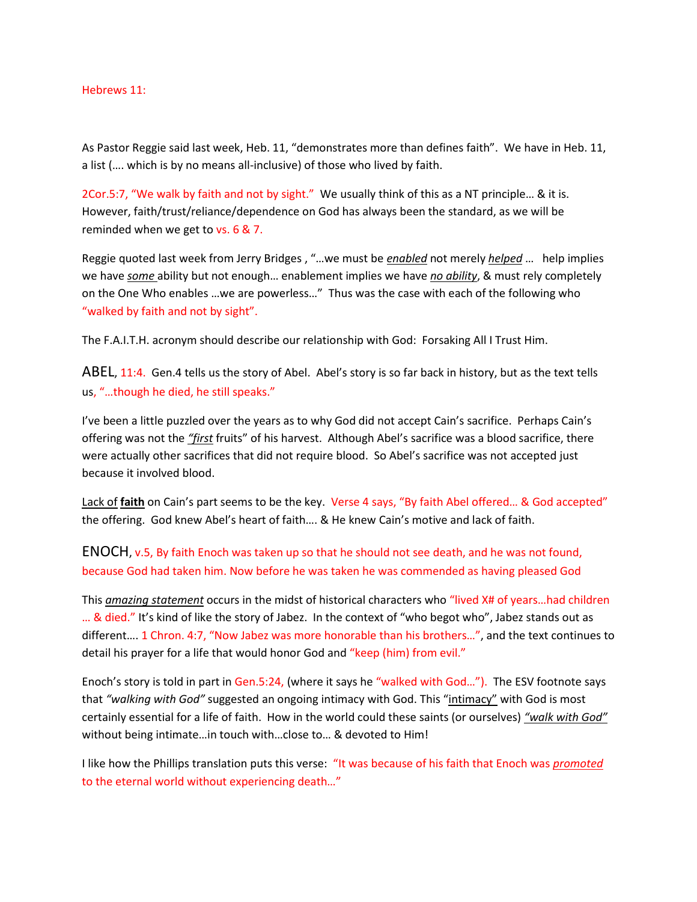## Hebrews 11:

As Pastor Reggie said last week, Heb. 11, "demonstrates more than defines faith". We have in Heb. 11, a list (…. which is by no means all-inclusive) of those who lived by faith.

2Cor.5:7, "We walk by faith and not by sight." We usually think of this as a NT principle… & it is. However, faith/trust/reliance/dependence on God has always been the standard, as we will be reminded when we get to vs. 6 & 7.

Reggie quoted last week from Jerry Bridges , "…we must be *enabled* not merely *helped* … help implies we have *some* ability but not enough… enablement implies we have *no ability*, & must rely completely on the One Who enables …we are powerless…" Thus was the case with each of the following who "walked by faith and not by sight".

The F.A.I.T.H. acronym should describe our relationship with God: Forsaking All I Trust Him.

ABEL, 11:4. Gen.4 tells us the story of Abel. Abel's story is so far back in history, but as the text tells us, "…though he died, he still speaks."

I've been a little puzzled over the years as to why God did not accept Cain's sacrifice. Perhaps Cain's offering was not the *"first* fruits" of his harvest. Although Abel's sacrifice was a blood sacrifice, there were actually other sacrifices that did not require blood. So Abel's sacrifice was not accepted just because it involved blood.

Lack of **faith** on Cain's part seems to be the key. Verse 4 says, "By faith Abel offered… & God accepted" the offering. God knew Abel's heart of faith…. & He knew Cain's motive and lack of faith.

ENOCH, v.5, By faith Enoch was taken up so that he should not see death, and he was not found, because God had taken him. Now before he was taken he was commended as having pleased God

This *amazing statement* occurs in the midst of historical characters who "lived X# of years…had children … & died." It's kind of like the story of Jabez. In the context of "who begot who", Jabez stands out as different…. 1 Chron. 4:7, "Now Jabez was more honorable than his brothers…", and the text continues to detail his prayer for a life that would honor God and "keep (him) from evil."

Enoch's story is told in part in Gen.5:24, (where it says he "walked with God…"). The ESV footnote says that *"walking with God"* suggested an ongoing intimacy with God. This "intimacy" with God is most certainly essential for a life of faith. How in the world could these saints (or ourselves) *"walk with God"* without being intimate…in touch with…close to… & devoted to Him!

I like how the Phillips translation puts this verse: "It was because of his faith that Enoch was *promoted* to the eternal world without experiencing death…"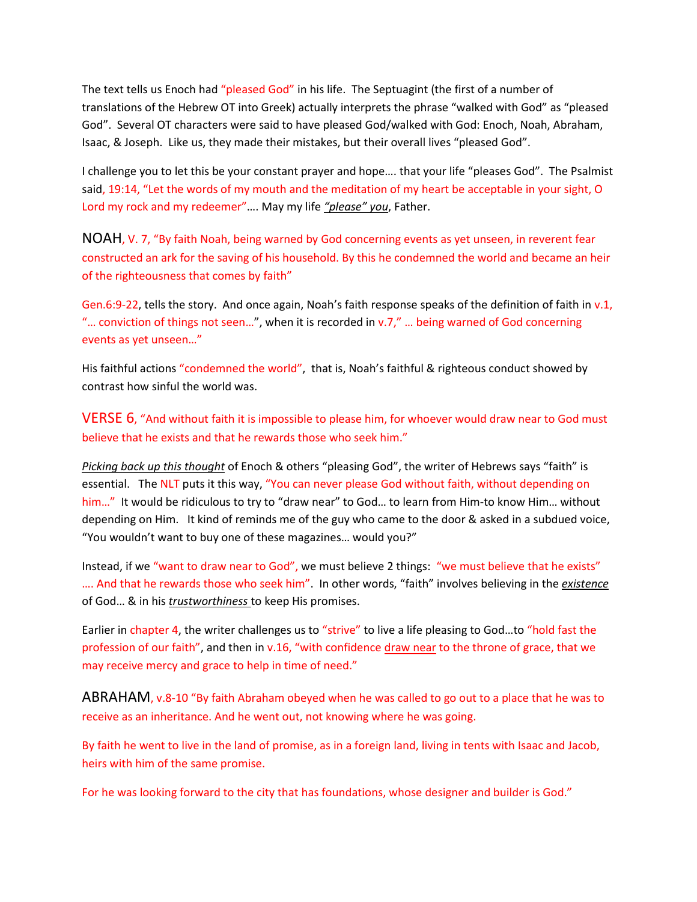The text tells us Enoch had "pleased God" in his life. The Septuagint (the first of a number of translations of the Hebrew OT into Greek) actually interprets the phrase "walked with God" as "pleased God". Several OT characters were said to have pleased God/walked with God: Enoch, Noah, Abraham, Isaac, & Joseph. Like us, they made their mistakes, but their overall lives "pleased God".

I challenge you to let this be your constant prayer and hope…. that your life "pleases God". The Psalmist said, 19:14, "Let the words of my mouth and the meditation of my heart be acceptable in your sight, O Lord my rock and my redeemer"…. May my life *"please" you*, Father.

NOAH, V. 7, "By faith Noah, being warned by God concerning events as yet unseen, in reverent fear constructed an ark for the saving of his household. By this he condemned the world and became an heir of the righteousness that comes by faith"

Gen.6:9-22, tells the story. And once again, Noah's faith response speaks of the definition of faith in v.1, "… conviction of things not seen…", when it is recorded in v.7," … being warned of God concerning events as yet unseen…"

His faithful actions "condemned the world", that is, Noah's faithful & righteous conduct showed by contrast how sinful the world was.

VERSE 6, "And without faith it is impossible to please him, for whoever would draw near to God must believe that he exists and that he rewards those who seek him."

*Picking back up this thought* of Enoch & others "pleasing God", the writer of Hebrews says "faith" is essential. The NLT puts it this way, "You can never please God without faith, without depending on him..." It would be ridiculous to try to "draw near" to God... to learn from Him-to know Him... without depending on Him. It kind of reminds me of the guy who came to the door & asked in a subdued voice, "You wouldn't want to buy one of these magazines… would you?"

Instead, if we "want to draw near to God", we must believe 2 things: "we must believe that he exists" …. And that he rewards those who seek him". In other words, "faith" involves believing in the *existence* of God… & in his *trustworthiness* to keep His promises.

Earlier in chapter 4, the writer challenges us to "strive" to live a life pleasing to God…to "hold fast the profession of our faith", and then in v.16, "with confidence draw near to the throne of grace, that we may receive mercy and grace to help in time of need."

ABRAHAM, v.8-10 "By faith Abraham obeyed when he was called to go out to a place that he was to receive as an inheritance. And he went out, not knowing where he was going.

By faith he went to live in the land of promise, as in a foreign land, living in tents with Isaac and Jacob, heirs with him of the same promise.

For he was looking forward to the city that has foundations, whose designer and builder is God."